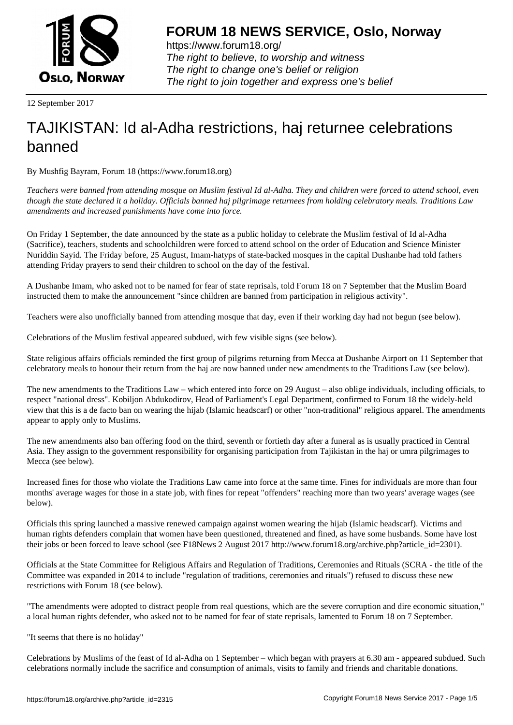

https://www.forum18.org/ The right to believe, to worship and witness The right to change one's belief or religion [The right to join together a](https://www.forum18.org/)nd express one's belief

12 September 2017

# [TAJIKISTAN: Id](https://www.forum18.org) al-Adha restrictions, haj returnee celebrations banned

By Mushfig Bayram, Forum 18 (https://www.forum18.org)

*Teachers were banned from attending mosque on Muslim festival Id al-Adha. They and children were forced to attend school, even though the state declared it a holiday. Officials banned haj pilgrimage returnees from holding celebratory meals. Traditions Law amendments and increased punishments have come into force.*

On Friday 1 September, the date announced by the state as a public holiday to celebrate the Muslim festival of Id al-Adha (Sacrifice), teachers, students and schoolchildren were forced to attend school on the order of Education and Science Minister Nuriddin Sayid. The Friday before, 25 August, Imam-hatyps of state-backed mosques in the capital Dushanbe had told fathers attending Friday prayers to send their children to school on the day of the festival.

A Dushanbe Imam, who asked not to be named for fear of state reprisals, told Forum 18 on 7 September that the Muslim Board instructed them to make the announcement "since children are banned from participation in religious activity".

Teachers were also unofficially banned from attending mosque that day, even if their working day had not begun (see below).

Celebrations of the Muslim festival appeared subdued, with few visible signs (see below).

State religious affairs officials reminded the first group of pilgrims returning from Mecca at Dushanbe Airport on 11 September that celebratory meals to honour their return from the haj are now banned under new amendments to the Traditions Law (see below).

The new amendments to the Traditions Law – which entered into force on 29 August – also oblige individuals, including officials, to respect "national dress". Kobiljon Abdukodirov, Head of Parliament's Legal Department, confirmed to Forum 18 the widely-held view that this is a de facto ban on wearing the hijab (Islamic headscarf) or other "non-traditional" religious apparel. The amendments appear to apply only to Muslims.

The new amendments also ban offering food on the third, seventh or fortieth day after a funeral as is usually practiced in Central Asia. They assign to the government responsibility for organising participation from Tajikistan in the haj or umra pilgrimages to Mecca (see below).

Increased fines for those who violate the Traditions Law came into force at the same time. Fines for individuals are more than four months' average wages for those in a state job, with fines for repeat "offenders" reaching more than two years' average wages (see below).

Officials this spring launched a massive renewed campaign against women wearing the hijab (Islamic headscarf). Victims and human rights defenders complain that women have been questioned, threatened and fined, as have some husbands. Some have lost their jobs or been forced to leave school (see F18News 2 August 2017 http://www.forum18.org/archive.php?article\_id=2301).

Officials at the State Committee for Religious Affairs and Regulation of Traditions, Ceremonies and Rituals (SCRA - the title of the Committee was expanded in 2014 to include "regulation of traditions, ceremonies and rituals") refused to discuss these new restrictions with Forum 18 (see below).

"The amendments were adopted to distract people from real questions, which are the severe corruption and dire economic situation," a local human rights defender, who asked not to be named for fear of state reprisals, lamented to Forum 18 on 7 September.

"It seems that there is no holiday"

Celebrations by Muslims of the feast of Id al-Adha on 1 September – which began with prayers at 6.30 am - appeared subdued. Such celebrations normally include the sacrifice and consumption of animals, visits to family and friends and charitable donations.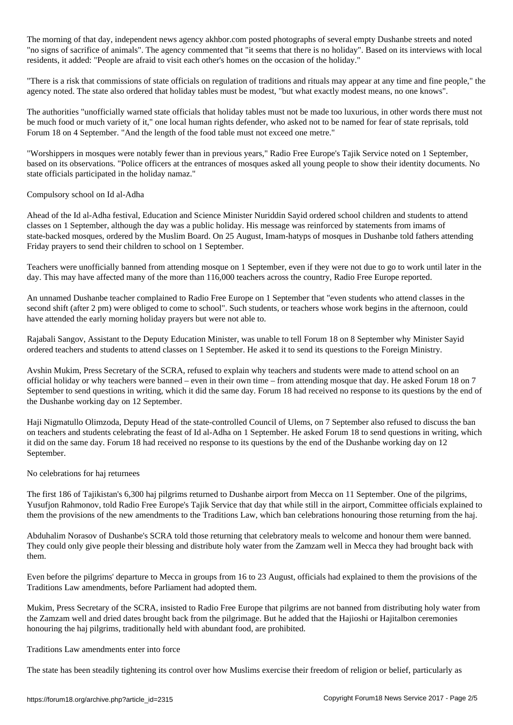The morning of that day, independent news agency akhbor.com posted photographs of several empty Dushanbe streets and noted "no signs of sacrifice of animals". The agency commented that "it seems that there is no holiday". Based on its interviews with local residents, it added: "People are afraid to visit each other's homes on the occasion of the holiday."

"There is a risk that commissions of state officials on regulation of traditions and rituals may appear at any time and fine people," the agency noted. The state also ordered that holiday tables must be modest, "but what exactly modest means, no one knows".

The authorities "unofficially warned state officials that holiday tables must not be made too luxurious, in other words there must not be much food or much variety of it," one local human rights defender, who asked not to be named for fear of state reprisals, told Forum 18 on 4 September. "And the length of the food table must not exceed one metre."

"Worshippers in mosques were notably fewer than in previous years," Radio Free Europe's Tajik Service noted on 1 September, based on its observations. "Police officers at the entrances of mosques asked all young people to show their identity documents. No state officials participated in the holiday namaz."

## Compulsory school on Id al-Adha

Ahead of the Id al-Adha festival, Education and Science Minister Nuriddin Sayid ordered school children and students to attend classes on 1 September, although the day was a public holiday. His message was reinforced by statements from imams of state-backed mosques, ordered by the Muslim Board. On 25 August, Imam-hatyps of mosques in Dushanbe told fathers attending Friday prayers to send their children to school on 1 September.

Teachers were unofficially banned from attending mosque on 1 September, even if they were not due to go to work until later in the day. This may have affected many of the more than 116,000 teachers across the country, Radio Free Europe reported.

An unnamed Dushanbe teacher complained to Radio Free Europe on 1 September that "even students who attend classes in the second shift (after 2 pm) were obliged to come to school". Such students, or teachers whose work begins in the afternoon, could have attended the early morning holiday prayers but were not able to.

Rajabali Sangov, Assistant to the Deputy Education Minister, was unable to tell Forum 18 on 8 September why Minister Sayid ordered teachers and students to attend classes on 1 September. He asked it to send its questions to the Foreign Ministry.

Avshin Mukim, Press Secretary of the SCRA, refused to explain why teachers and students were made to attend school on an official holiday or why teachers were banned – even in their own time – from attending mosque that day. He asked Forum 18 on 7 September to send questions in writing, which it did the same day. Forum 18 had received no response to its questions by the end of the Dushanbe working day on 12 September.

Haji Nigmatullo Olimzoda, Deputy Head of the state-controlled Council of Ulems, on 7 September also refused to discuss the ban on teachers and students celebrating the feast of Id al-Adha on 1 September. He asked Forum 18 to send questions in writing, which it did on the same day. Forum 18 had received no response to its questions by the end of the Dushanbe working day on 12 September.

#### No celebrations for haj returnees

The first 186 of Tajikistan's 6,300 haj pilgrims returned to Dushanbe airport from Mecca on 11 September. One of the pilgrims, Yusufjon Rahmonov, told Radio Free Europe's Tajik Service that day that while still in the airport, Committee officials explained to them the provisions of the new amendments to the Traditions Law, which ban celebrations honouring those returning from the haj.

Abduhalim Norasov of Dushanbe's SCRA told those returning that celebratory meals to welcome and honour them were banned. They could only give people their blessing and distribute holy water from the Zamzam well in Mecca they had brought back with them.

Even before the pilgrims' departure to Mecca in groups from 16 to 23 August, officials had explained to them the provisions of the Traditions Law amendments, before Parliament had adopted them.

Mukim, Press Secretary of the SCRA, insisted to Radio Free Europe that pilgrims are not banned from distributing holy water from the Zamzam well and dried dates brought back from the pilgrimage. But he added that the Hajioshi or Hajitalbon ceremonies honouring the haj pilgrims, traditionally held with abundant food, are prohibited.

#### Traditions Law amendments enter into force

The state has been steadily tightening its control over how Muslims exercise their freedom of religion or belief, particularly as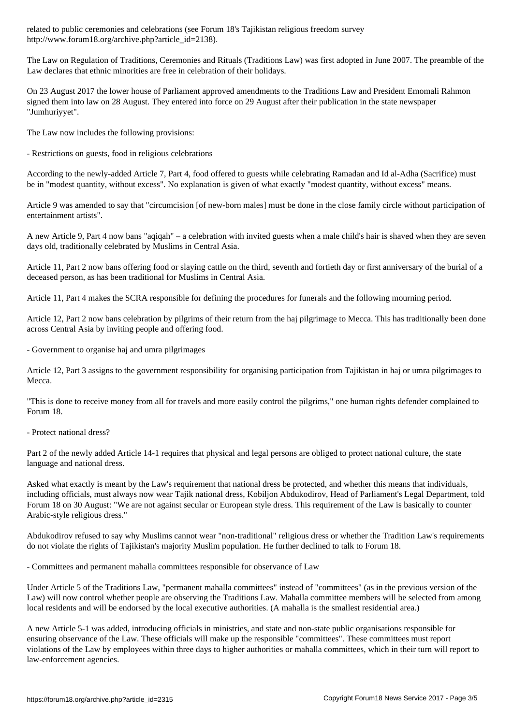http://www.forum18.org/archive.php?article\_id=2138).

The Law on Regulation of Traditions, Ceremonies and Rituals (Traditions Law) was first adopted in June 2007. The preamble of the Law declares that ethnic minorities are free in celebration of their holidays.

On 23 August 2017 the lower house of Parliament approved amendments to the Traditions Law and President Emomali Rahmon signed them into law on 28 August. They entered into force on 29 August after their publication in the state newspaper "Jumhuriyyet".

The Law now includes the following provisions:

- Restrictions on guests, food in religious celebrations

According to the newly-added Article 7, Part 4, food offered to guests while celebrating Ramadan and Id al-Adha (Sacrifice) must be in "modest quantity, without excess". No explanation is given of what exactly "modest quantity, without excess" means.

Article 9 was amended to say that "circumcision [of new-born males] must be done in the close family circle without participation of entertainment artists".

A new Article 9, Part 4 now bans "aqiqah" – a celebration with invited guests when a male child's hair is shaved when they are seven days old, traditionally celebrated by Muslims in Central Asia.

Article 11, Part 2 now bans offering food or slaying cattle on the third, seventh and fortieth day or first anniversary of the burial of a deceased person, as has been traditional for Muslims in Central Asia.

Article 11, Part 4 makes the SCRA responsible for defining the procedures for funerals and the following mourning period.

Article 12, Part 2 now bans celebration by pilgrims of their return from the haj pilgrimage to Mecca. This has traditionally been done across Central Asia by inviting people and offering food.

- Government to organise haj and umra pilgrimages

Article 12, Part 3 assigns to the government responsibility for organising participation from Tajikistan in haj or umra pilgrimages to Mecca.

"This is done to receive money from all for travels and more easily control the pilgrims," one human rights defender complained to Forum 18.

- Protect national dress?

Part 2 of the newly added Article 14-1 requires that physical and legal persons are obliged to protect national culture, the state language and national dress.

Asked what exactly is meant by the Law's requirement that national dress be protected, and whether this means that individuals, including officials, must always now wear Tajik national dress, Kobiljon Abdukodirov, Head of Parliament's Legal Department, told Forum 18 on 30 August: "We are not against secular or European style dress. This requirement of the Law is basically to counter Arabic-style religious dress."

Abdukodirov refused to say why Muslims cannot wear "non-traditional" religious dress or whether the Tradition Law's requirements do not violate the rights of Tajikistan's majority Muslim population. He further declined to talk to Forum 18.

- Committees and permanent mahalla committees responsible for observance of Law

Under Article 5 of the Traditions Law, "permanent mahalla committees" instead of "committees" (as in the previous version of the Law) will now control whether people are observing the Traditions Law. Mahalla committee members will be selected from among local residents and will be endorsed by the local executive authorities. (A mahalla is the smallest residential area.)

A new Article 5-1 was added, introducing officials in ministries, and state and non-state public organisations responsible for ensuring observance of the Law. These officials will make up the responsible "committees". These committees must report violations of the Law by employees within three days to higher authorities or mahalla committees, which in their turn will report to law-enforcement agencies.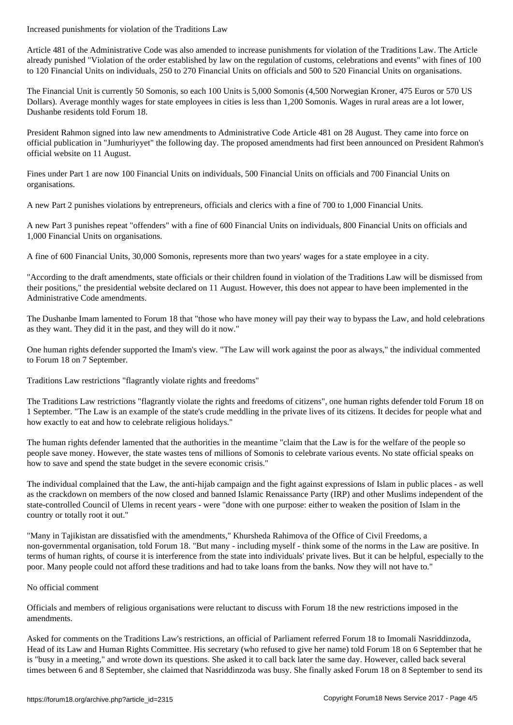Article 481 of the Administrative Code was also amended to increase punishments for violation of the Traditions Law. The Article already punished "Violation of the order established by law on the regulation of customs, celebrations and events" with fines of 100 to 120 Financial Units on individuals, 250 to 270 Financial Units on officials and 500 to 520 Financial Units on organisations.

The Financial Unit is currently 50 Somonis, so each 100 Units is 5,000 Somonis (4,500 Norwegian Kroner, 475 Euros or 570 US Dollars). Average monthly wages for state employees in cities is less than 1,200 Somonis. Wages in rural areas are a lot lower, Dushanbe residents told Forum 18.

President Rahmon signed into law new amendments to Administrative Code Article 481 on 28 August. They came into force on official publication in "Jumhuriyyet" the following day. The proposed amendments had first been announced on President Rahmon's official website on 11 August.

Fines under Part 1 are now 100 Financial Units on individuals, 500 Financial Units on officials and 700 Financial Units on organisations.

A new Part 2 punishes violations by entrepreneurs, officials and clerics with a fine of 700 to 1,000 Financial Units.

A new Part 3 punishes repeat "offenders" with a fine of 600 Financial Units on individuals, 800 Financial Units on officials and 1,000 Financial Units on organisations.

A fine of 600 Financial Units, 30,000 Somonis, represents more than two years' wages for a state employee in a city.

"According to the draft amendments, state officials or their children found in violation of the Traditions Law will be dismissed from their positions," the presidential website declared on 11 August. However, this does not appear to have been implemented in the Administrative Code amendments.

The Dushanbe Imam lamented to Forum 18 that "those who have money will pay their way to bypass the Law, and hold celebrations as they want. They did it in the past, and they will do it now."

One human rights defender supported the Imam's view. "The Law will work against the poor as always," the individual commented to Forum 18 on 7 September.

Traditions Law restrictions "flagrantly violate rights and freedoms"

The Traditions Law restrictions "flagrantly violate the rights and freedoms of citizens", one human rights defender told Forum 18 on 1 September. "The Law is an example of the state's crude meddling in the private lives of its citizens. It decides for people what and how exactly to eat and how to celebrate religious holidays."

The human rights defender lamented that the authorities in the meantime "claim that the Law is for the welfare of the people so people save money. However, the state wastes tens of millions of Somonis to celebrate various events. No state official speaks on how to save and spend the state budget in the severe economic crisis."

The individual complained that the Law, the anti-hijab campaign and the fight against expressions of Islam in public places - as well as the crackdown on members of the now closed and banned Islamic Renaissance Party (IRP) and other Muslims independent of the state-controlled Council of Ulems in recent years - were "done with one purpose: either to weaken the position of Islam in the country or totally root it out."

"Many in Tajikistan are dissatisfied with the amendments," Khursheda Rahimova of the Office of Civil Freedoms, a non-governmental organisation, told Forum 18. "But many - including myself - think some of the norms in the Law are positive. In terms of human rights, of course it is interference from the state into individuals' private lives. But it can be helpful, especially to the poor. Many people could not afford these traditions and had to take loans from the banks. Now they will not have to."

## No official comment

Officials and members of religious organisations were reluctant to discuss with Forum 18 the new restrictions imposed in the amendments.

Asked for comments on the Traditions Law's restrictions, an official of Parliament referred Forum 18 to Imomali Nasriddinzoda, Head of its Law and Human Rights Committee. His secretary (who refused to give her name) told Forum 18 on 6 September that he is "busy in a meeting," and wrote down its questions. She asked it to call back later the same day. However, called back several times between 6 and 8 September, she claimed that Nasriddinzoda was busy. She finally asked Forum 18 on 8 September to send its